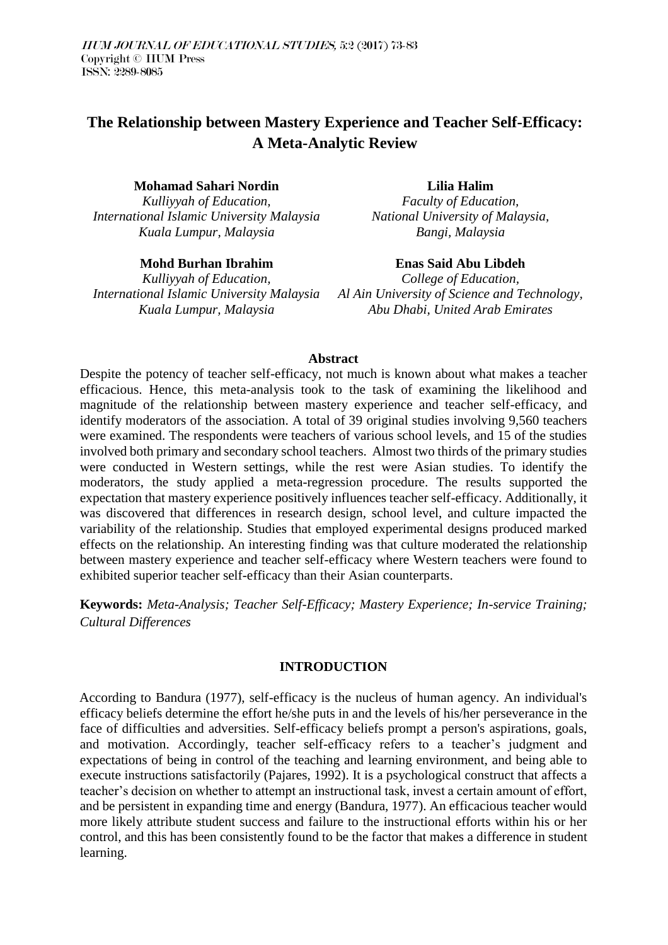# **The Relationship between Mastery Experience and Teacher Self-Efficacy: A Meta-Analytic Review**

**Mohamad Sahari Nordin**

*Kulliyyah of Education, International Islamic University Malaysia Kuala Lumpur, Malaysia*

**Mohd Burhan Ibrahim**

*Kulliyyah of Education, International Islamic University Malaysia Kuala Lumpur, Malaysia*

**Lilia Halim**

*Faculty of Education, National University of Malaysia, Bangi, Malaysia*

**Enas Said Abu Libdeh** *College of Education, Al Ain University of Science and Technology, Abu Dhabi, United Arab Emirates*

## **Abstract**

Despite the potency of teacher self-efficacy, not much is known about what makes a teacher efficacious. Hence, this meta-analysis took to the task of examining the likelihood and magnitude of the relationship between mastery experience and teacher self-efficacy, and identify moderators of the association. A total of 39 original studies involving 9,560 teachers were examined. The respondents were teachers of various school levels, and 15 of the studies involved both primary and secondary school teachers. Almost two thirds of the primary studies were conducted in Western settings, while the rest were Asian studies. To identify the moderators, the study applied a meta-regression procedure. The results supported the expectation that mastery experience positively influences teacher self-efficacy. Additionally, it was discovered that differences in research design, school level, and culture impacted the variability of the relationship. Studies that employed experimental designs produced marked effects on the relationship. An interesting finding was that culture moderated the relationship between mastery experience and teacher self-efficacy where Western teachers were found to exhibited superior teacher self-efficacy than their Asian counterparts.

**Keywords:** *Meta-Analysis; Teacher Self-Efficacy; Mastery Experience; In-service Training; Cultural Differences*

# **INTRODUCTION**

According to Bandura (1977), self-efficacy is the nucleus of human agency. An individual's efficacy beliefs determine the effort he/she puts in and the levels of his/her perseverance in the face of difficulties and adversities. Self-efficacy beliefs prompt a person's aspirations, goals, and motivation. Accordingly, teacher self-efficacy refers to a teacher's judgment and expectations of being in control of the teaching and learning environment, and being able to execute instructions satisfactorily (Pajares, 1992). It is a psychological construct that affects a teacher's decision on whether to attempt an instructional task, invest a certain amount of effort, and be persistent in expanding time and energy (Bandura, 1977). An efficacious teacher would more likely attribute student success and failure to the instructional efforts within his or her control, and this has been consistently found to be the factor that makes a difference in student learning.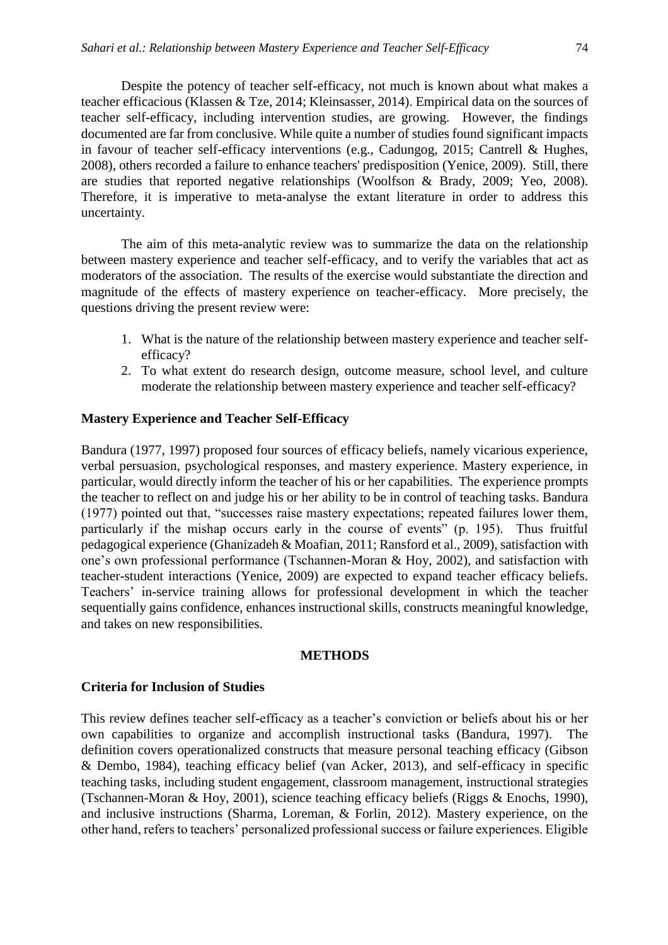Despite the potency of teacher self-efficacy, not much is known about what makes a teacher efficacious (Klassen & Tze, 2014; Kleinsasser, 2014). Empirical data on the sources of teacher self-efficacy, including intervention studies, are growing. However, the findings documented are far from conclusive. While quite a number of studies found significant impacts in favour of teacher self-efficacy interventions (e.g., Cadungog, 2015; Cantrell & Hughes, 2008), others recorded a failure to enhance teachers' predisposition (Yenice, 2009). Still, there are studies that reported negative relationships (Woolfson & Brady, 2009; Yeo, 2008). Therefore, it is imperative to meta-analyse the extant literature in order to address this uncertainty.

The aim of this meta-analytic review was to summarize the data on the relationship between mastery experience and teacher self-efficacy, and to verify the variables that act as moderators of the association. The results of the exercise would substantiate the direction and magnitude of the effects of mastery experience on teacher-efficacy. More precisely, the questions driving the present review were:

- 1. What is the nature of the relationship between mastery experience and teacher selfefficacy?
- 2. To what extent do research design, outcome measure, school level, and culture moderate the relationship between mastery experience and teacher self-efficacy?

## **Mastery Experience and Teacher Self-Efficacy**

Bandura (1977, 1997) proposed four sources of efficacy beliefs, namely vicarious experience, verbal persuasion, psychological responses, and mastery experience. Mastery experience, in particular, would directly inform the teacher of his or her capabilities. The experience prompts the teacher to reflect on and judge his or her ability to be in control of teaching tasks. Bandura (1977) pointed out that, "successes raise mastery expectations; repeated failures lower them, particularly if the mishap occurs early in the course of events" (p. 195). Thus fruitful pedagogical experience (Ghanizadeh & Moafian, 2011; Ransford et al., 2009), satisfaction with one's own professional performance (Tschannen-Moran & Hoy, 2002), and satisfaction with teacher-student interactions (Yenice, 2009) are expected to expand teacher efficacy beliefs. Teachers' in-service training allows for professional development in which the teacher sequentially gains confidence, enhances instructional skills, constructs meaningful knowledge, and takes on new responsibilities.

## **METHODS**

## **Criteria for Inclusion of Studies**

This review defines teacher self-efficacy as a teacher's conviction or beliefs about his or her own capabilities to organize and accomplish instructional tasks (Bandura, 1997). The definition covers operationalized constructs that measure personal teaching efficacy (Gibson & Dembo, 1984), teaching efficacy belief (van Acker, 2013), and self-efficacy in specific teaching tasks, including student engagement, classroom management, instructional strategies (Tschannen-Moran & Hoy, 2001), science teaching efficacy beliefs (Riggs & Enochs, 1990), and inclusive instructions (Sharma, Loreman, & Forlin, 2012). Mastery experience, on the other hand, refers to teachers' personalized professional success or failure experiences. Eligible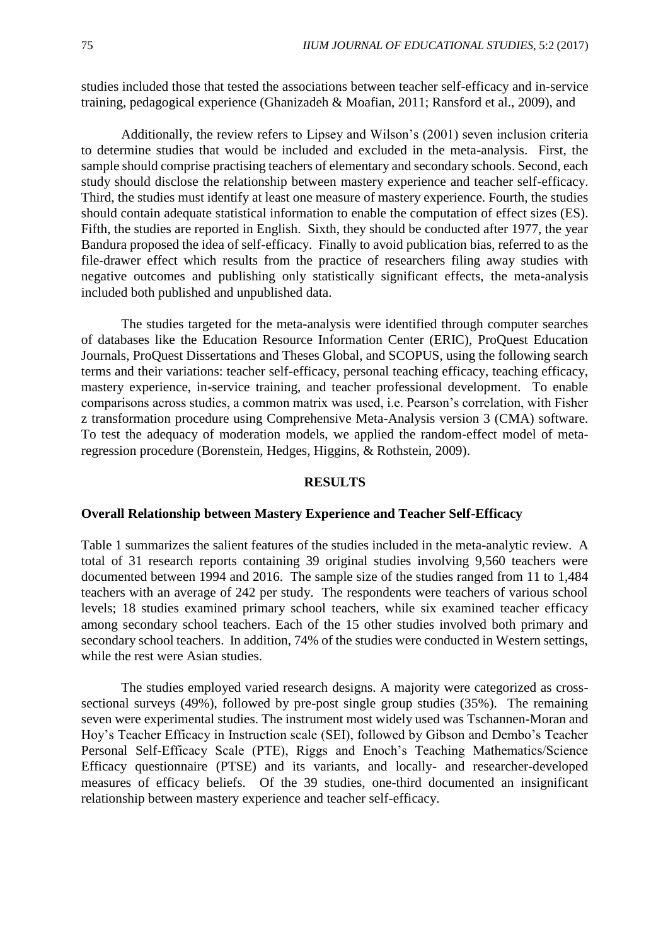studies included those that tested the associations between teacher self-efficacy and in-service training, pedagogical experience (Ghanizadeh & Moafian, 2011; Ransford et al., 2009), and

Additionally, the review refers to Lipsey and Wilson's (2001) seven inclusion criteria to determine studies that would be included and excluded in the meta-analysis. First, the sample should comprise practising teachers of elementary and secondary schools. Second, each study should disclose the relationship between mastery experience and teacher self-efficacy. Third, the studies must identify at least one measure of mastery experience. Fourth, the studies should contain adequate statistical information to enable the computation of effect sizes (ES). Fifth, the studies are reported in English. Sixth, they should be conducted after 1977, the year Bandura proposed the idea of self-efficacy. Finally to avoid publication bias, referred to as the file-drawer effect which results from the practice of researchers filing away studies with negative outcomes and publishing only statistically significant effects, the meta-analysis included both published and unpublished data.

The studies targeted for the meta-analysis were identified through computer searches of databases like the Education Resource Information Center (ERIC), ProQuest Education Journals, ProQuest Dissertations and Theses Global, and SCOPUS, using the following search terms and their variations: teacher self-efficacy, personal teaching efficacy, teaching efficacy, mastery experience, in-service training, and teacher professional development. To enable comparisons across studies, a common matrix was used, i.e. Pearson's correlation, with Fisher z transformation procedure using Comprehensive Meta-Analysis version 3 (CMA) software. To test the adequacy of moderation models, we applied the random-effect model of metaregression procedure (Borenstein, Hedges, Higgins, & Rothstein, 2009).

#### **RESULTS**

#### **Overall Relationship between Mastery Experience and Teacher Self-Efficacy**

Table 1 summarizes the salient features of the studies included in the meta-analytic review. A total of 31 research reports containing 39 original studies involving 9,560 teachers were documented between 1994 and 2016. The sample size of the studies ranged from 11 to 1,484 teachers with an average of 242 per study. The respondents were teachers of various school levels; 18 studies examined primary school teachers, while six examined teacher efficacy among secondary school teachers. Each of the 15 other studies involved both primary and secondary school teachers. In addition, 74% of the studies were conducted in Western settings, while the rest were Asian studies.

The studies employed varied research designs. A majority were categorized as crosssectional surveys (49%), followed by pre-post single group studies (35%). The remaining seven were experimental studies. The instrument most widely used was Tschannen-Moran and Hoy's Teacher Efficacy in Instruction scale (SEI), followed by Gibson and Dembo's Teacher Personal Self-Efficacy Scale (PTE), Riggs and Enoch's Teaching Mathematics/Science Efficacy questionnaire (PTSE) and its variants, and locally- and researcher-developed measures of efficacy beliefs. Of the 39 studies, one-third documented an insignificant relationship between mastery experience and teacher self-efficacy.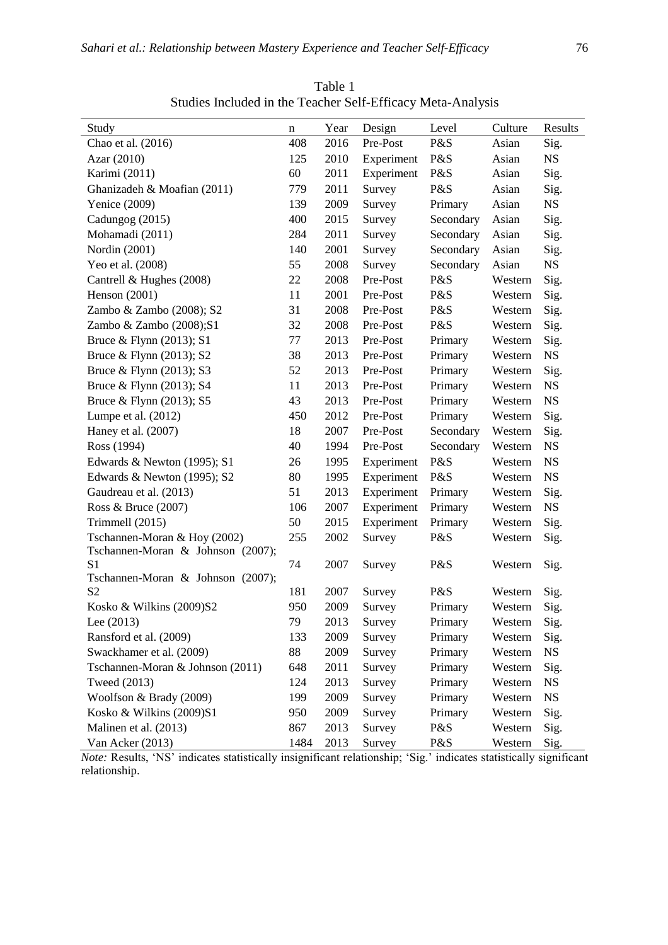| Study                             | n    | Year | Design     | Level     | Culture | Results   |
|-----------------------------------|------|------|------------|-----------|---------|-----------|
| Chao et al. (2016)                | 408  | 2016 | Pre-Post   | P&S       | Asian   | Sig.      |
| Azar (2010)                       | 125  | 2010 | Experiment | P&S       | Asian   | <b>NS</b> |
| Karimi (2011)                     | 60   | 2011 | Experiment | P&S       | Asian   | Sig.      |
| Ghanizadeh & Moafian (2011)       | 779  | 2011 | Survey     | P&S       | Asian   | Sig.      |
| Yenice (2009)                     | 139  | 2009 | Survey     | Primary   | Asian   | <b>NS</b> |
| Cadungog (2015)                   | 400  | 2015 | Survey     | Secondary | Asian   | Sig.      |
| Mohamadi (2011)                   | 284  | 2011 | Survey     | Secondary | Asian   | Sig.      |
| Nordin (2001)                     | 140  | 2001 | Survey     | Secondary | Asian   | Sig.      |
| Yeo et al. (2008)                 | 55   | 2008 | Survey     | Secondary | Asian   | <b>NS</b> |
| Cantrell & Hughes (2008)          | 22   | 2008 | Pre-Post   | P&S       | Western |           |
| Henson (2001)                     | 11   | 2001 | Pre-Post   | P&S       | Western | Sig.      |
|                                   | 31   | 2008 | Pre-Post   | P&S       |         | Sig.      |
| Zambo & Zambo (2008); S2          |      |      | Pre-Post   | P&S       | Western | Sig.      |
| Zambo & Zambo (2008);S1           | 32   | 2008 |            |           | Western | Sig.      |
| Bruce & Flynn (2013); S1          | 77   | 2013 | Pre-Post   | Primary   | Western | Sig.      |
| Bruce & Flynn (2013); S2          | 38   | 2013 | Pre-Post   | Primary   | Western | <b>NS</b> |
| Bruce & Flynn (2013); S3          | 52   | 2013 | Pre-Post   | Primary   | Western | Sig.      |
| Bruce & Flynn (2013); S4          | 11   | 2013 | Pre-Post   | Primary   | Western | <b>NS</b> |
| Bruce & Flynn (2013); S5          | 43   | 2013 | Pre-Post   | Primary   | Western | <b>NS</b> |
| Lumpe et al. (2012)               | 450  | 2012 | Pre-Post   | Primary   | Western | Sig.      |
| Haney et al. (2007)               | 18   | 2007 | Pre-Post   | Secondary | Western | Sig.      |
| Ross (1994)                       | 40   | 1994 | Pre-Post   | Secondary | Western | <b>NS</b> |
| Edwards & Newton (1995); S1       | 26   | 1995 | Experiment | P&S       | Western | <b>NS</b> |
| Edwards & Newton (1995); S2       | 80   | 1995 | Experiment | P&S       | Western | <b>NS</b> |
| Gaudreau et al. (2013)            | 51   | 2013 | Experiment | Primary   | Western | Sig.      |
| Ross & Bruce (2007)               | 106  | 2007 | Experiment | Primary   | Western | <b>NS</b> |
| Trimmell (2015)                   | 50   | 2015 | Experiment | Primary   | Western | Sig.      |
| Tschannen-Moran & Hoy (2002)      | 255  | 2002 | Survey     | P&S       | Western | Sig.      |
| Tschannen-Moran & Johnson (2007); |      |      |            |           |         |           |
| S <sub>1</sub>                    | 74   | 2007 | Survey     | P&S       | Western | Sig.      |
| Tschannen-Moran & Johnson (2007); |      |      |            |           |         |           |
| S <sub>2</sub>                    | 181  | 2007 | Survey     | P&S       | Western | Sig.      |
| Kosko & Wilkins (2009)S2          | 950  | 2009 | Survey     | Primary   | Western | Sig.      |
| Lee (2013)                        | 79   | 2013 | Survey     | Primary   | Western | Sig.      |
| Ransford et al. (2009)            | 133  | 2009 | Survey     | Primary   | Western | Sig.      |
| Swackhamer et al. (2009)          | 88   | 2009 | Survey     | Primary   | Western | <b>NS</b> |
| Tschannen-Moran & Johnson (2011)  | 648  | 2011 | Survey     | Primary   | Western | Sig.      |
| Tweed (2013)                      | 124  | 2013 | Survey     | Primary   | Western | <b>NS</b> |
| Woolfson & Brady (2009)           | 199  | 2009 | Survey     | Primary   | Western | <b>NS</b> |
| Kosko & Wilkins (2009)S1          | 950  | 2009 | Survey     | Primary   | Western | Sig.      |
| Malinen et al. (2013)             | 867  | 2013 | Survey     | P&S       | Western | Sig.      |
| Van Acker (2013)                  | 1484 | 2013 | Survey     | P&S       | Western | Sig.      |

Table 1 Studies Included in the Teacher Self-Efficacy Meta-Analysis

*Note:* Results, 'NS' indicates statistically insignificant relationship; 'Sig.' indicates statistically significant relationship.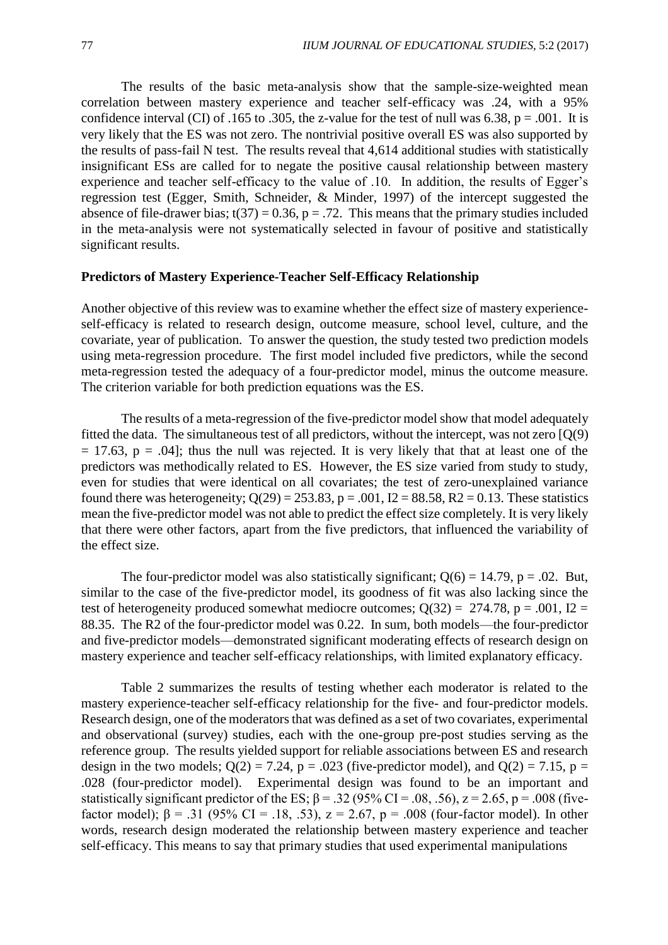The results of the basic meta-analysis show that the sample-size-weighted mean correlation between mastery experience and teacher self-efficacy was .24, with a 95% confidence interval (CI) of .165 to .305, the z-value for the test of null was 6.38,  $p = .001$ . It is very likely that the ES was not zero. The nontrivial positive overall ES was also supported by the results of pass-fail N test. The results reveal that 4,614 additional studies with statistically insignificant ESs are called for to negate the positive causal relationship between mastery experience and teacher self-efficacy to the value of .10. In addition, the results of Egger's regression test (Egger, Smith, Schneider, & Minder, 1997) of the intercept suggested the absence of file-drawer bias;  $t(37) = 0.36$ ,  $p = .72$ . This means that the primary studies included in the meta-analysis were not systematically selected in favour of positive and statistically significant results.

## **Predictors of Mastery Experience-Teacher Self-Efficacy Relationship**

Another objective of this review was to examine whether the effect size of mastery experienceself-efficacy is related to research design, outcome measure, school level, culture, and the covariate, year of publication. To answer the question, the study tested two prediction models using meta-regression procedure. The first model included five predictors, while the second meta-regression tested the adequacy of a four-predictor model, minus the outcome measure. The criterion variable for both prediction equations was the ES.

The results of a meta-regression of the five-predictor model show that model adequately fitted the data. The simultaneous test of all predictors, without the intercept, was not zero  $[Q(9)]$  $= 17.63$ ,  $p = .04$ ; thus the null was rejected. It is very likely that that at least one of the predictors was methodically related to ES. However, the ES size varied from study to study, even for studies that were identical on all covariates; the test of zero-unexplained variance found there was heterogeneity;  $Q(29) = 253.83$ ,  $p = .001$ ,  $I2 = 88.58$ ,  $R2 = 0.13$ . These statistics mean the five-predictor model was not able to predict the effect size completely. It is very likely that there were other factors, apart from the five predictors, that influenced the variability of the effect size.

The four-predictor model was also statistically significant;  $Q(6) = 14.79$ ,  $p = .02$ . But, similar to the case of the five-predictor model, its goodness of fit was also lacking since the test of heterogeneity produced somewhat mediocre outcomes;  $Q(32) = 274.78$ , p = .001, I2 = 88.35. The R2 of the four-predictor model was 0.22. In sum, both models—the four-predictor and five-predictor models—demonstrated significant moderating effects of research design on mastery experience and teacher self-efficacy relationships, with limited explanatory efficacy.

Table 2 summarizes the results of testing whether each moderator is related to the mastery experience-teacher self-efficacy relationship for the five- and four-predictor models. Research design, one of the moderators that was defined as a set of two covariates, experimental and observational (survey) studies, each with the one-group pre-post studies serving as the reference group. The results yielded support for reliable associations between ES and research design in the two models;  $Q(2) = 7.24$ ,  $p = .023$  (five-predictor model), and  $Q(2) = 7.15$ ,  $p =$ .028 (four-predictor model). Experimental design was found to be an important and statistically significant predictor of the ES;  $\beta$  = .32 (95% CI = .08, .56), z = 2.65, p = .008 (fivefactor model);  $β = .31$  (95% CI = .18, .53),  $z = 2.67$ ,  $p = .008$  (four-factor model). In other words, research design moderated the relationship between mastery experience and teacher self-efficacy. This means to say that primary studies that used experimental manipulations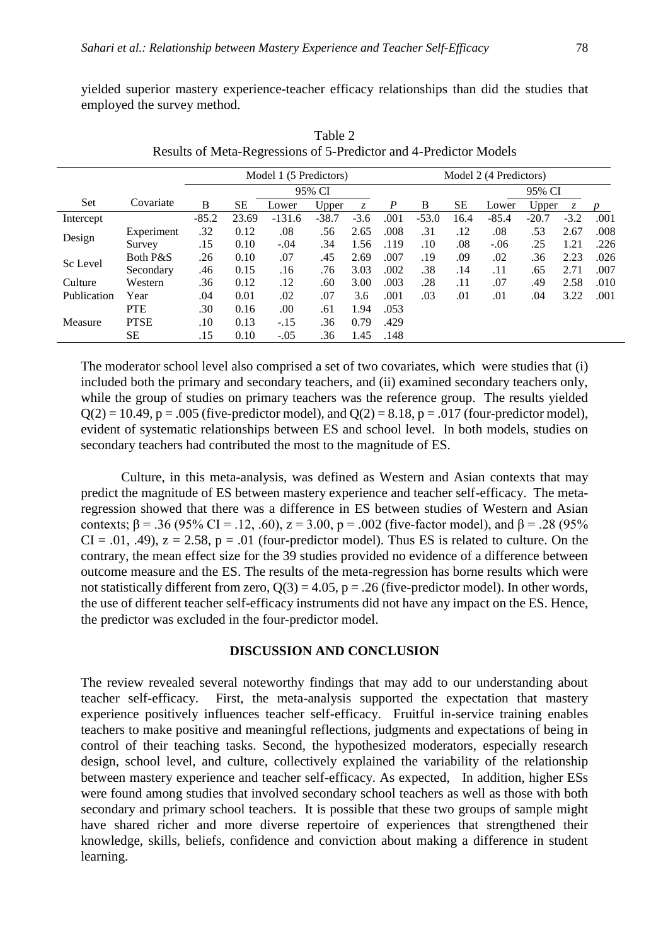yielded superior mastery experience-teacher efficacy relationships than did the studies that employed the survey method.

|             |             | Model 1 (5 Predictors) |           |          |         |        | Model 2 (4 Predictors) |         |        |         |         |        |              |
|-------------|-------------|------------------------|-----------|----------|---------|--------|------------------------|---------|--------|---------|---------|--------|--------------|
|             |             | 95% CI                 |           |          |         |        |                        |         | 95% CI |         |         |        |              |
| Set         | Covariate   | B                      | <b>SE</b> | Lower    | Upper   | Z.     | $\boldsymbol{P}$       | B       | SЕ     | Lower   | Upper   | Z.     | <sub>n</sub> |
| Intercept   |             | $-85.2$                | 23.69     | $-131.6$ | $-38.7$ | $-3.6$ | .001                   | $-53.0$ | 16.4   | $-85.4$ | $-20.7$ | $-3.2$ | .001         |
| Design      | Experiment  | .32                    | 0.12      | .08      | .56     | 2.65   | .008                   | .31     | .12    | .08     | .53     | 2.67   | .008         |
|             | Survey      | .15                    | 0.10      | $-.04$   | .34     | 1.56   | .119                   | .10     | .08    | $-.06$  | .25     | 1.21   | .226         |
| Sc Level    | Both P&S    | .26                    | 0.10      | .07      | .45     | 2.69   | .007                   | .19     | .09    | .02     | .36     | 2.23   | .026         |
|             | Secondary   | .46                    | 0.15      | .16      | .76     | 3.03   | .002                   | .38     | .14    | .11     | .65     | 2.71   | .007         |
| Culture     | Western     | .36                    | 0.12      | .12      | .60     | 3.00   | .003                   | .28     | .11    | .07     | .49     | 2.58   | .010         |
| Publication | Year        | .04                    | 0.01      | .02      | .07     | 3.6    | .001                   | .03     | .01    | .01     | .04     | 3.22   | .001         |
|             | <b>PTE</b>  | .30                    | 0.16      | .00      | .61     | 1.94   | .053                   |         |        |         |         |        |              |
| Measure     | <b>PTSE</b> | .10                    | 0.13      | $-.15$   | .36     | 0.79   | .429                   |         |        |         |         |        |              |
|             | SЕ          | .15                    | 0.10      | $-.05$   | .36     | 1.45   | .148                   |         |        |         |         |        |              |

Table 2 Results of Meta-Regressions of 5-Predictor and 4-Predictor Models

The moderator school level also comprised a set of two covariates, which were studies that (i) included both the primary and secondary teachers, and (ii) examined secondary teachers only, while the group of studies on primary teachers was the reference group. The results yielded  $Q(2) = 10.49$ ,  $p = .005$  (five-predictor model), and  $Q(2) = 8.18$ ,  $p = .017$  (four-predictor model), evident of systematic relationships between ES and school level. In both models, studies on secondary teachers had contributed the most to the magnitude of ES.

Culture, in this meta-analysis, was defined as Western and Asian contexts that may predict the magnitude of ES between mastery experience and teacher self-efficacy. The metaregression showed that there was a difference in ES between studies of Western and Asian contexts;  $β = .36 (95% CI = .12, .60)$ ,  $z = 3.00$ ,  $p = .002$  (five-factor model), and  $β = .28 (95% CI = .12, .60)$  $CI = .01, .49$ ,  $z = 2.58$ ,  $p = .01$  (four-predictor model). Thus ES is related to culture. On the contrary, the mean effect size for the 39 studies provided no evidence of a difference between outcome measure and the ES. The results of the meta-regression has borne results which were not statistically different from zero,  $Q(3) = 4.05$ ,  $p = .26$  (five-predictor model). In other words, the use of different teacher self-efficacy instruments did not have any impact on the ES. Hence, the predictor was excluded in the four-predictor model.

# **DISCUSSION AND CONCLUSION**

The review revealed several noteworthy findings that may add to our understanding about teacher self-efficacy. First, the meta-analysis supported the expectation that mastery experience positively influences teacher self-efficacy. Fruitful in-service training enables teachers to make positive and meaningful reflections, judgments and expectations of being in control of their teaching tasks. Second, the hypothesized moderators, especially research design, school level, and culture, collectively explained the variability of the relationship between mastery experience and teacher self-efficacy. As expected, In addition, higher ESs were found among studies that involved secondary school teachers as well as those with both secondary and primary school teachers. It is possible that these two groups of sample might have shared richer and more diverse repertoire of experiences that strengthened their knowledge, skills, beliefs, confidence and conviction about making a difference in student learning.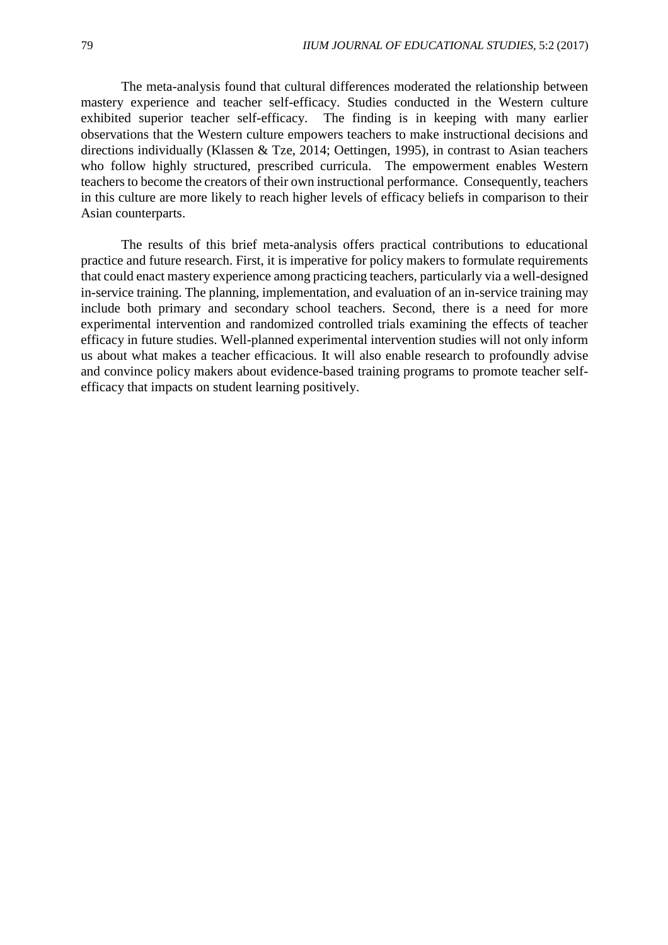The meta-analysis found that cultural differences moderated the relationship between mastery experience and teacher self-efficacy. Studies conducted in the Western culture exhibited superior teacher self-efficacy. The finding is in keeping with many earlier observations that the Western culture empowers teachers to make instructional decisions and directions individually (Klassen & Tze, 2014; Oettingen, 1995), in contrast to Asian teachers who follow highly structured, prescribed curricula. The empowerment enables Western teachers to become the creators of their own instructional performance. Consequently, teachers in this culture are more likely to reach higher levels of efficacy beliefs in comparison to their Asian counterparts.

The results of this brief meta-analysis offers practical contributions to educational practice and future research. First, it is imperative for policy makers to formulate requirements that could enact mastery experience among practicing teachers, particularly via a well-designed in-service training. The planning, implementation, and evaluation of an in-service training may include both primary and secondary school teachers. Second, there is a need for more experimental intervention and randomized controlled trials examining the effects of teacher efficacy in future studies. Well-planned experimental intervention studies will not only inform us about what makes a teacher efficacious. It will also enable research to profoundly advise and convince policy makers about evidence-based training programs to promote teacher selfefficacy that impacts on student learning positively.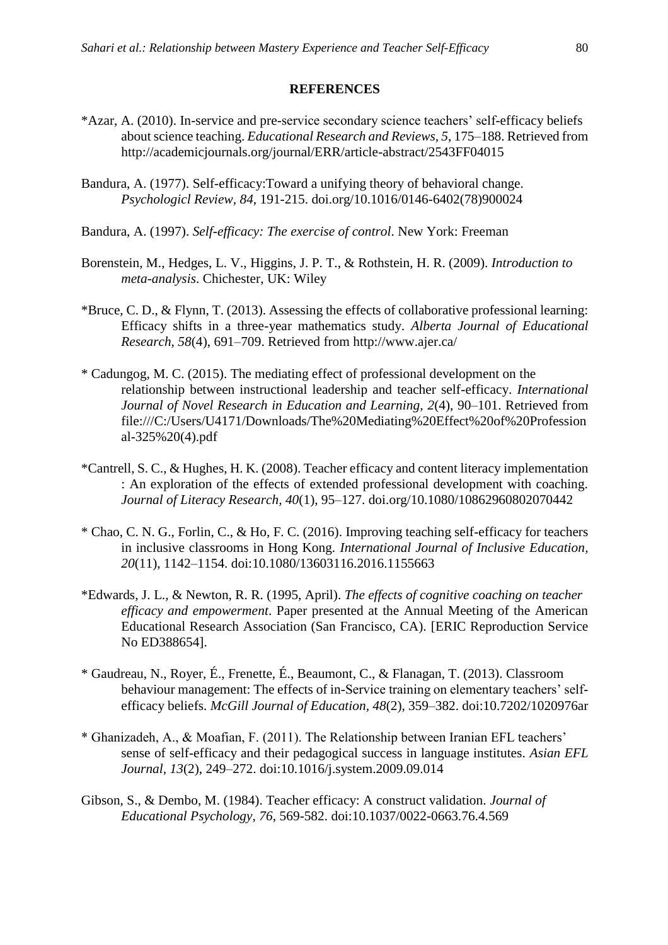#### **REFERENCES**

- \*Azar, A. (2010). In-service and pre-service secondary science teachers' self-efficacy beliefs about science teaching. *Educational Research and Reviews, 5*, 175–188. Retrieved from http://academicjournals.org/journal/ERR/article-abstract/2543FF04015
- Bandura, A. (1977). Self-efficacy:Toward a unifying theory of behavioral change. *Psychologicl Review, 84*, 191-215. doi.org/10.1016/0146-6402(78)900024
- Bandura, A. (1997). *Self-efficacy: The exercise of control*. New York: Freeman
- Borenstein, M., Hedges, L. V., Higgins, J. P. T., & Rothstein, H. R. (2009). *Introduction to meta-analysis*. Chichester, UK: Wiley
- \*Bruce, C. D., & Flynn, T. (2013). Assessing the effects of collaborative professional learning: Efficacy shifts in a three-year mathematics study. *Alberta Journal of Educational Research, 58*(4), 691–709. Retrieved from http://www.ajer.ca/
- \* Cadungog, M. C. (2015). The mediating effect of professional development on the relationship between instructional leadership and teacher self-efficacy. *International Journal of Novel Research in Education and Learning, 2*(4), 90–101. Retrieved from file:///C:/Users/U4171/Downloads/The%20Mediating%20Effect%20of%20Profession al-325%20(4).pdf
- \*Cantrell, S. C., & Hughes, H. K. (2008). Teacher efficacy and content literacy implementation : An exploration of the effects of extended professional development with coaching. *Journal of Literacy Research, 40*(1), 95–127. doi.org/10.1080/10862960802070442
- \* Chao, C. N. G., Forlin, C., & Ho, F. C. (2016). Improving teaching self-efficacy for teachers in inclusive classrooms in Hong Kong. *International Journal of Inclusive Education, 20*(11), 1142–1154. doi:10.1080/13603116.2016.1155663
- \*Edwards, J. L., & Newton, R. R. (1995, April). *The effects of cognitive coaching on teacher efficacy and empowerment*. Paper presented at the Annual Meeting of the American Educational Research Association (San Francisco, CA). [ERIC Reproduction Service No ED388654].
- \* Gaudreau, N., Royer, É., Frenette, É., Beaumont, C., & Flanagan, T. (2013). Classroom behaviour management: The effects of in-Service training on elementary teachers' selfefficacy beliefs. *McGill Journal of Education, 48*(2), 359–382. doi:10.7202/1020976ar
- \* Ghanizadeh, A., & Moafian, F. (2011). The Relationship between Iranian EFL teachers' sense of self-efficacy and their pedagogical success in language institutes. *Asian EFL Journal, 13*(2), 249–272. doi:10.1016/j.system.2009.09.014
- Gibson, S., & Dembo, M. (1984). Teacher efficacy: A construct validation. *Journal of Educational Psychology, 76*, 569-582. doi:10.1037/0022-0663.76.4.569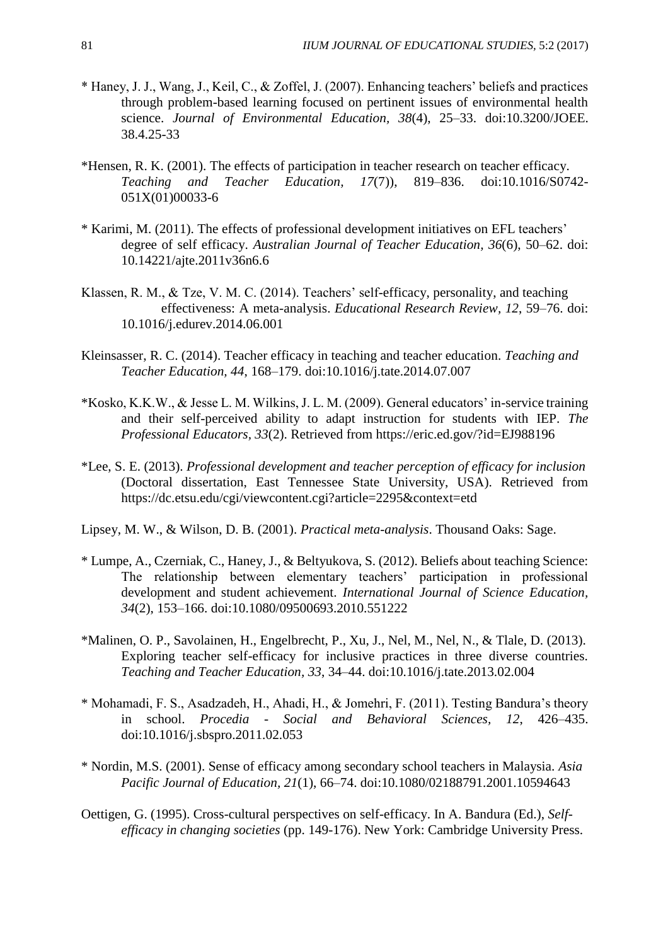- \* Haney, J. J., Wang, J., Keil, C., & Zoffel, J. (2007). Enhancing teachers' beliefs and practices through problem-based learning focused on pertinent issues of environmental health science. *Journal of Environmental Education, 38*(4), 25–33. doi:10.3200/JOEE. 38.4.25-33
- \*Hensen, R. K. (2001). The effects of participation in teacher research on teacher efficacy. *Teaching and Teacher Education, 17*(7)), 819–836. doi:10.1016/S0742- 051X(01)00033-6
- \* Karimi, M. (2011). The effects of professional development initiatives on EFL teachers' degree of self efficacy. *Australian Journal of Teacher Education, 36*(6), 50–62. doi: 10.14221/ajte.2011v36n6.6
- Klassen, R. M., & Tze, V. M. C. (2014). Teachers' self-efficacy, personality, and teaching effectiveness: A meta-analysis. *Educational Research Review, 12*, 59–76. doi: 10.1016/j.edurev.2014.06.001
- Kleinsasser, R. C. (2014). Teacher efficacy in teaching and teacher education. *Teaching and Teacher Education, 44*, 168–179. doi:10.1016/j.tate.2014.07.007
- \*Kosko, K.K.W., & Jesse L. M. Wilkins, J. L. M. (2009). General educators' in-service training and their self-perceived ability to adapt instruction for students with IEP. *The Professional Educators, 33*(2). Retrieved from https://eric.ed.gov/?id=EJ988196
- \*Lee, S. E. (2013). *Professional development and teacher perception of efficacy for inclusion* (Doctoral dissertation, East Tennessee State University, USA). Retrieved from https://dc.etsu.edu/cgi/viewcontent.cgi?article=2295&context=etd
- Lipsey, M. W., & Wilson, D. B. (2001). *Practical meta-analysis*. Thousand Oaks: Sage.
- \* Lumpe, A., Czerniak, C., Haney, J., & Beltyukova, S. (2012). Beliefs about teaching Science: The relationship between elementary teachers' participation in professional development and student achievement. *International Journal of Science Education, 34*(2), 153–166. doi:10.1080/09500693.2010.551222
- \*Malinen, O. P., Savolainen, H., Engelbrecht, P., Xu, J., Nel, M., Nel, N., & Tlale, D. (2013). Exploring teacher self-efficacy for inclusive practices in three diverse countries. *Teaching and Teacher Education, 33*, 34–44. doi:10.1016/j.tate.2013.02.004
- \* Mohamadi, F. S., Asadzadeh, H., Ahadi, H., & Jomehri, F. (2011). Testing Bandura's theory in school. *Procedia - Social and Behavioral Sciences, 12*, 426–435. doi:10.1016/j.sbspro.2011.02.053
- \* Nordin, M.S. (2001). Sense of efficacy among secondary school teachers in Malaysia. *Asia Pacific Journal of Education, 21*(1), 66–74. doi:10.1080/02188791.2001.10594643
- Oettigen, G. (1995). Cross-cultural perspectives on self-efficacy. In A. Bandura (Ed.), *Selfefficacy in changing societies* (pp. 149-176). New York: Cambridge University Press.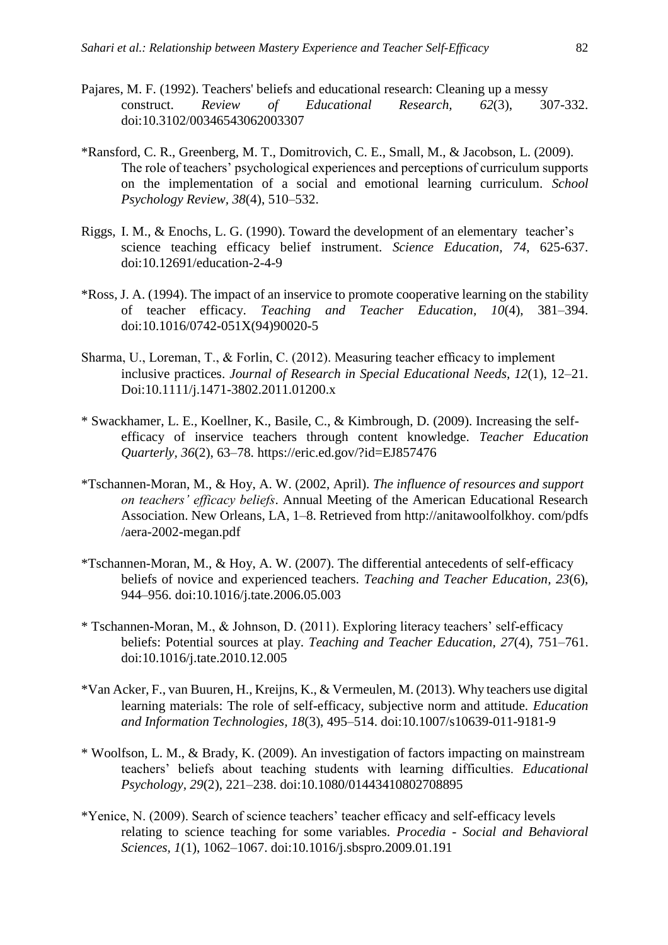- Pajares, M. F. (1992). Teachers' beliefs and educational research: Cleaning up a messy construct. *Review of Educational Research, 62*(3), 307-332. doi:10.3102/00346543062003307
- \*Ransford, C. R., Greenberg, M. T., Domitrovich, C. E., Small, M., & Jacobson, L. (2009). The role of teachers' psychological experiences and perceptions of curriculum supports on the implementation of a social and emotional learning curriculum. *School Psychology Review, 38*(4), 510–532.
- Riggs, I. M., & Enochs, L. G. (1990). Toward the development of an elementary teacher's science teaching efficacy belief instrument. *Science Education, 74*, 625-637. doi:10.12691/education-2-4-9
- \*Ross, J. A. (1994). The impact of an inservice to promote cooperative learning on the stability of teacher efficacy. *Teaching and Teacher Education, 10*(4), 381–394. doi:10.1016/0742-051X(94)90020-5
- Sharma, U., Loreman, T., & Forlin, C. (2012). Measuring teacher efficacy to implement inclusive practices. *Journal of Research in Special Educational Needs, 12*(1), 12–21. Doi:10.1111/j.1471-3802.2011.01200.x
- \* Swackhamer, L. E., Koellner, K., Basile, C., & Kimbrough, D. (2009). Increasing the selfefficacy of inservice teachers through content knowledge. *Teacher Education Quarterly, 36*(2), 63–78. https://eric.ed.gov/?id=EJ857476
- \*Tschannen-Moran, M., & Hoy, A. W. (2002, April). *The influence of resources and support on teachers' efficacy beliefs*. Annual Meeting of the American Educational Research Association. New Orleans, LA, 1–8. Retrieved from http://anitawoolfolkhoy. com/pdfs /aera-2002-megan.pdf
- \*Tschannen-Moran, M., & Hoy, A. W. (2007). The differential antecedents of self-efficacy beliefs of novice and experienced teachers. *Teaching and Teacher Education, 23*(6), 944–956. doi:10.1016/j.tate.2006.05.003
- \* Tschannen-Moran, M., & Johnson, D. (2011). Exploring literacy teachers' self-efficacy beliefs: Potential sources at play. *Teaching and Teacher Education, 27*(4), 751–761. doi:10.1016/j.tate.2010.12.005
- \*Van Acker, F., van Buuren, H., Kreijns, K., & Vermeulen, M. (2013). Why teachers use digital learning materials: The role of self-efficacy, subjective norm and attitude. *Education and Information Technologies, 18*(3), 495–514. doi:10.1007/s10639-011-9181-9
- \* Woolfson, L. M., & Brady, K. (2009). An investigation of factors impacting on mainstream teachers' beliefs about teaching students with learning difficulties. *Educational Psychology, 29*(2), 221–238. doi:10.1080/01443410802708895
- \*Yenice, N. (2009). Search of science teachers' teacher efficacy and self-efficacy levels relating to science teaching for some variables. *Procedia - Social and Behavioral Sciences, 1*(1), 1062–1067. doi:10.1016/j.sbspro.2009.01.191